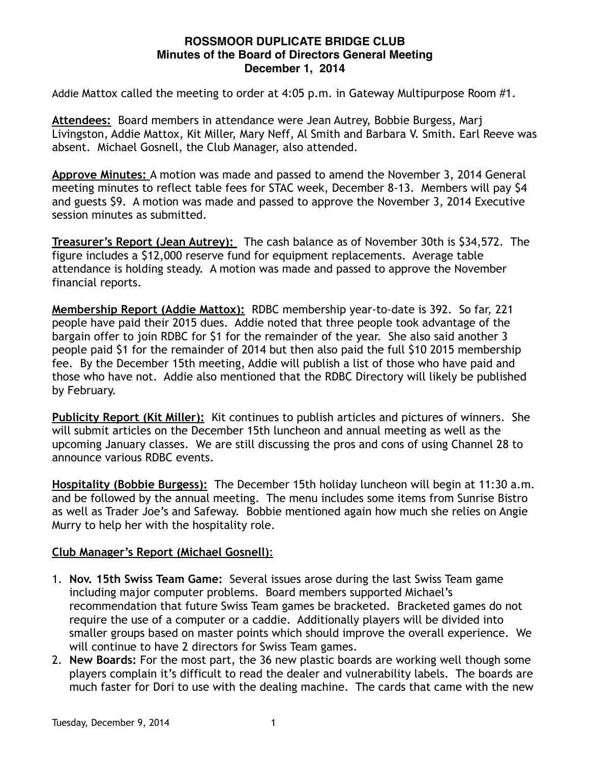## **ROSSMOOR DUPLICATE BRIDGE CLUB Minutes of the Board of Directors General Meeting December 1, 2014**

Addie Mattox called the meeting to order at 4:05 p.m. in Gateway Multipurpose Room #1.

**Attendees:** Board members in attendance were Jean Autrey, Bobbie Burgess, Marj Livingston, Addie Mattox, Kit Miller, Mary Neff, Al Smith and Barbara V. Smith. Earl Reeve was absent. Michael Gosnell, the Club Manager, also attended.

**Approve Minutes:** A motion was made and passed to amend the November 3, 2014 General meeting minutes to reflect table fees for STAC week, December 8-13. Members will pay \$4 and guests \$9. A motion was made and passed to approve the November 3, 2014 Executive session minutes as submitted.

**Treasurer's Report (Jean Autrey):** The cash balance as of November 30th is \$34,572. The figure includes a \$12,000 reserve fund for equipment replacements. Average table attendance is holding steady. A motion was made and passed to approve the November financial reports.

**Membership Report (Addie Mattox):** RDBC membership year-to-date is 392. So far, 221 people have paid their 2015 dues. Addie noted that three people took advantage of the bargain offer to join RDBC for \$1 for the remainder of the year. She also said another 3 people paid \$1 for the remainder of 2014 but then also paid the full \$10 2015 membership fee. By the December 15th meeting, Addie will publish a list of those who have paid and those who have not. Addie also mentioned that the RDBC Directory will likely be published by February.

**Publicity Report (Kit Miller):** Kit continues to publish articles and pictures of winners. She will submit articles on the December 15th luncheon and annual meeting as well as the upcoming January classes. We are still discussing the pros and cons of using Channel 28 to announce various RDBC events.

**Hospitality (Bobbie Burgess):** The December 15th holiday luncheon will begin at 11:30 a.m. and be followed by the annual meeting. The menu includes some items from Sunrise Bistro as well as Trader Joe's and Safeway. Bobbie mentioned again how much she relies on Angie Murry to help her with the hospitality role.

## **Club Manager's Report (Michael Gosnell)**:

- 1. **Nov. 15th Swiss Team Game:** Several issues arose during the last Swiss Team game including major computer problems. Board members supported Michael's recommendation that future Swiss Team games be bracketed. Bracketed games do not require the use of a computer or a caddie. Additionally players will be divided into smaller groups based on master points which should improve the overall experience. We will continue to have 2 directors for Swiss Team games.
- 2. **New Boards:** For the most part, the 36 new plastic boards are working well though some players complain it's difficult to read the dealer and vulnerability labels. The boards are much faster for Dori to use with the dealing machine. The cards that came with the new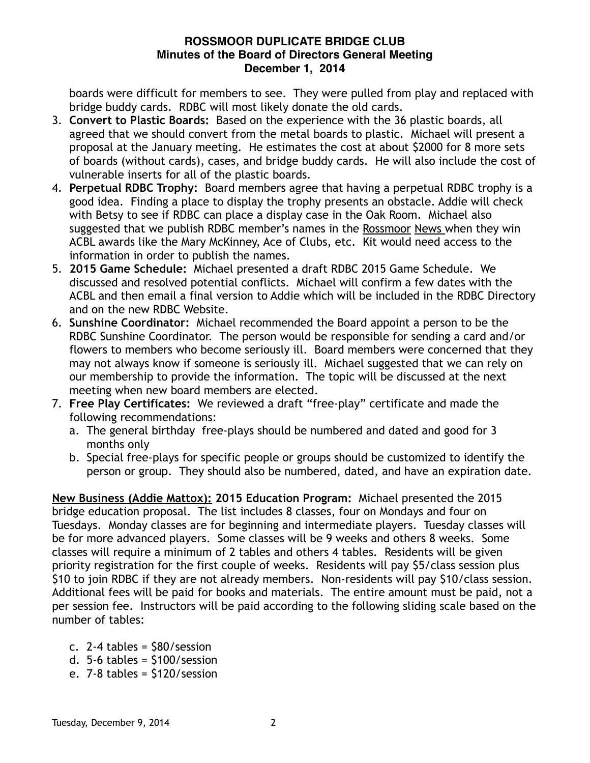## **ROSSMOOR DUPLICATE BRIDGE CLUB Minutes of the Board of Directors General Meeting December 1, 2014**

boards were difficult for members to see. They were pulled from play and replaced with bridge buddy cards. RDBC will most likely donate the old cards.

- 3. **Convert to Plastic Boards:** Based on the experience with the 36 plastic boards, all agreed that we should convert from the metal boards to plastic. Michael will present a proposal at the January meeting. He estimates the cost at about \$2000 for 8 more sets of boards (without cards), cases, and bridge buddy cards. He will also include the cost of vulnerable inserts for all of the plastic boards.
- 4. **Perpetual RDBC Trophy:** Board members agree that having a perpetual RDBC trophy is a good idea. Finding a place to display the trophy presents an obstacle. Addie will check with Betsy to see if RDBC can place a display case in the Oak Room. Michael also suggested that we publish RDBC member's names in the Rossmoor News when they win ACBL awards like the Mary McKinney, Ace of Clubs, etc. Kit would need access to the information in order to publish the names.
- 5. **2015 Game Schedule:** Michael presented a draft RDBC 2015 Game Schedule. We discussed and resolved potential conflicts. Michael will confirm a few dates with the ACBL and then email a final version to Addie which will be included in the RDBC Directory and on the new RDBC Website.
- 6. **Sunshine Coordinator:** Michael recommended the Board appoint a person to be the RDBC Sunshine Coordinator. The person would be responsible for sending a card and/or flowers to members who become seriously ill. Board members were concerned that they may not always know if someone is seriously ill. Michael suggested that we can rely on our membership to provide the information. The topic will be discussed at the next meeting when new board members are elected.
- 7. **Free Play Certificates:** We reviewed a draft "free-play" certificate and made the following recommendations:
	- a. The general birthday free-plays should be numbered and dated and good for 3 months only
	- b. Special free-plays for specific people or groups should be customized to identify the person or group. They should also be numbered, dated, and have an expiration date.

**New Business (Addie Mattox): 2015 Education Program:** Michael presented the 2015 bridge education proposal. The list includes 8 classes, four on Mondays and four on Tuesdays. Monday classes are for beginning and intermediate players. Tuesday classes will be for more advanced players. Some classes will be 9 weeks and others 8 weeks. Some classes will require a minimum of 2 tables and others 4 tables. Residents will be given priority registration for the first couple of weeks. Residents will pay \$5/class session plus \$10 to join RDBC if they are not already members. Non-residents will pay \$10/class session. Additional fees will be paid for books and materials. The entire amount must be paid, not a per session fee. Instructors will be paid according to the following sliding scale based on the number of tables:

- c. 2-4 tables = \$80/session
- d. 5-6 tables = \$100/session
- e. 7-8 tables = \$120/session